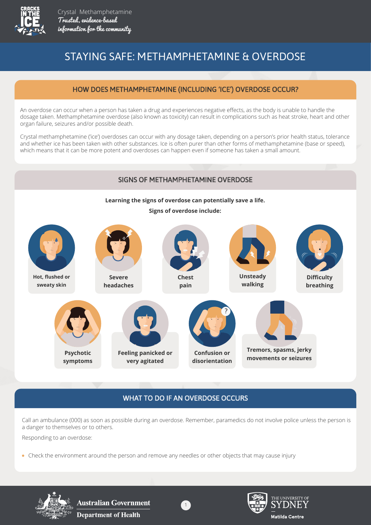

# STAYING SAFE: METHAMPHETAMINE & OVERDOSE

#### HOW DOES METHAMPHETAMINE (INCLUDING 'ICE') OVERDOSE OCCUR?

An overdose can occur when a person has taken a drug and experiences negative effects, as the body is unable to handle the dosage taken. Methamphetamine overdose (also known as toxicity) can result in complications such as heat stroke, heart and other organ failure, seizures and/or possible death.

Crystal methamphetamine ('ice') overdoses can occur with any dosage taken, depending on a person's prior health status, tolerance and whether ice has been taken with other substances. Ice is often purer than other forms of methamphetamine (base or speed), which means that it can be more potent and overdoses can happen even if someone has taken a small amount.

#### SIGNS OF METHAMPHETAMINE OVERDOSE



### WHAT TO DO IF AN OVERDOSE OCCURS

Call an ambulance (000) as soon as possible during an overdose. Remember, paramedics do not involve police unless the person is a danger to themselves or to others.

Responding to an overdose:

Check the environment around the person and remove any needles or other objects that may cause injury



**Australian Government Department of Health** 



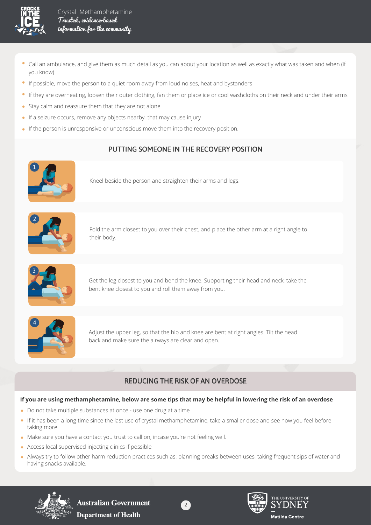

- Call an ambulance, and give them as much detail as you can about your location as well as exactly what was taken and when (if  $\bullet$ you know)
- If possible, move the person to a quiet room away from loud noises, heat and bystanders
- If they are overheating, loosen their outer clothing, fan them or place ice or cool washcloths on their neck and under their arms
- Stay calm and reassure them that they are not alone
- If a seizure occurs, remove any objects nearby that may cause injury
- If the person is unresponsive or unconscious move them into the recovery position.

# PUTTING SOMEONE IN THE RECOVERY POSITION



Kneel beside the person and straighten their arms and legs.



Fold the arm closest to you over their chest, and place the other arm at a right angle to their body.



Get the leg closest to you and bend the knee. Supporting their head and neck, take the bent knee closest to you and roll them away from you.



Adjust the upper leg, so that the hip and knee are bent at right angles. Tilt the head back and make sure the airways are clear and open.

# REDUCING THE RISK OF AN OVERDOSE

#### **If you are using methamphetamine, below are some tips that may be helpful in lowering the risk of an overdose**

- Do not take multiple substances at once use one drug at a time
- If it has been a long time since the last use of crystal methamphetamine, take a smaller dose and see how you feel before taking more
- Make sure you have a contact you trust to call on, incase you're not feeling well.
- Access local supervised injecting clinics if possible
- Always try to follow other harm reduction practices such as: planning breaks between uses, taking frequent sips of water and having snacks available.



**Australian Government Department of Health**